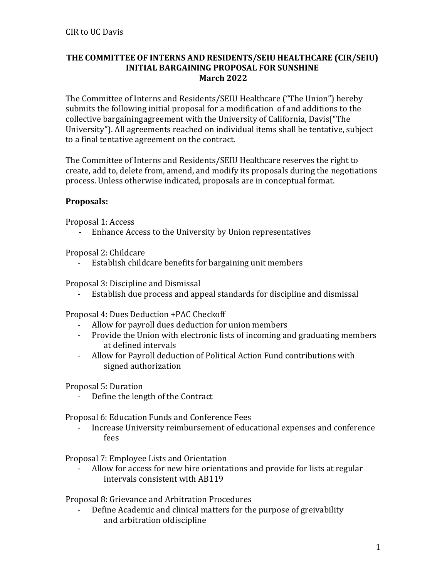## **THE COMMITTEE OF INTERNS AND RESIDENTS/SEIU HEALTHCARE (CIR/SEIU) INITIAL BARGAINING PROPOSAL FOR SUNSHINE March 2022**

The Committee of Interns and Residents/SEIU Healthcare ("The Union") hereby submits the following initial proposal for a modification of and additions to the collective bargaining agreement with the University of California, Davis("The University"). All agreements reached on individual items shall be tentative, subject to a final tentative agreement on the contract.

The Committee of Interns and Residents/SEIU Healthcare reserves the right to create, add to, delete from, amend, and modify its proposals during the negotiations process. Unless otherwise indicated, proposals are in conceptual format.

## **Proposals:**

Proposal 1: Access

- Enhance Access to the University by Union representatives

Proposal 2: Childcare

- Establish childcare benefits for bargaining unit members

Proposal 3: Discipline and Dismissal

Establish due process and appeal standards for discipline and dismissal

Proposal 4: Dues Deduction +PAC Checkoff

- Allow for payroll dues deduction for union members
- Provide the Union with electronic lists of incoming and graduating members at defined intervals
- Allow for Payroll deduction of Political Action Fund contributions with signed authorization

Proposal 5: Duration

Define the length of the Contract

Proposal 6: Education Funds and Conference Fees

- Increase University reimbursement of educational expenses and conference fees

Proposal 7: Employee Lists and Orientation

Allow for access for new hire orientations and provide for lists at regular intervals consistent with AB119

Proposal 8: Grievance and Arbitration Procedures

- Define Academic and clinical matters for the purpose of greivability and arbitration of discipline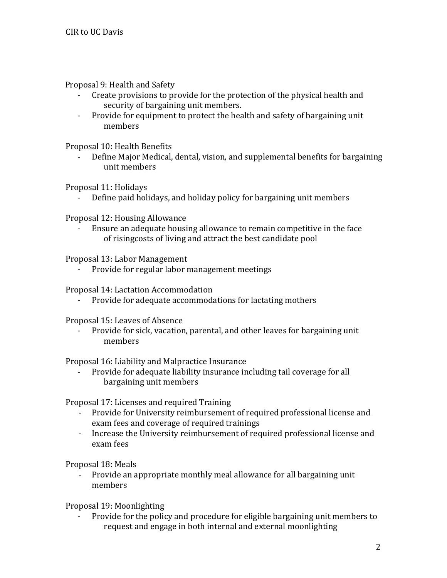Proposal 9: Health and Safety

- Create provisions to provide for the protection of the physical health and security of bargaining unit members.
- Provide for equipment to protect the health and safety of bargaining unit members

Proposal 10: Health Benefits

Define Major Medical, dental, vision, and supplemental benefits for bargaining unit members

Proposal 11: Holidays

- Define paid holidays, and holiday policy for bargaining unit members

Proposal 12: Housing Allowance

- Ensure an adequate housing allowance to remain competitive in the face of rising costs of living and attract the best candidate pool

Proposal 13: Labor Management

- Provide for regular labor management meetings

Proposal 14: Lactation Accommodation

- Provide for adequate accommodations for lactating mothers

Proposal 15: Leaves of Absence

Provide for sick, vacation, parental, and other leaves for bargaining unit members

Proposal 16: Liability and Malpractice Insurance

- Provide for adequate liability insurance including tail coverage for all bargaining unit members

Proposal 17: Licenses and required Training

- Provide for University reimbursement of required professional license and exam fees and coverage of required trainings
- Increase the University reimbursement of required professional license and exam fees

Proposal 18: Meals

- Provide an appropriate monthly meal allowance for all bargaining unit members

Proposal 19: Moonlighting

- Provide for the policy and procedure for eligible bargaining unit members to request and engage in both internal and external moonlighting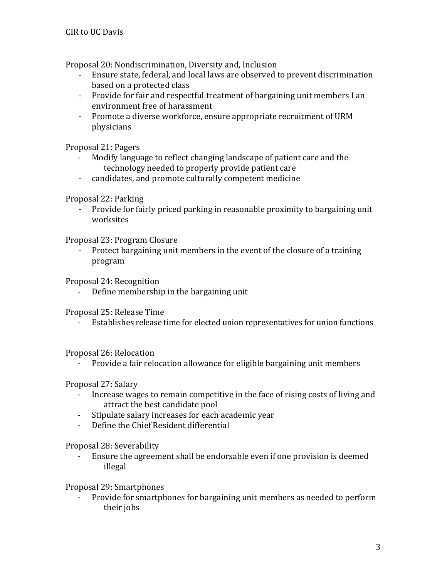Proposal 20: Nondiscrimination, Diversity and, Inclusion

- Ensure state, federal, and local laws are observed to prevent discrimination based on a protected class
- Provide for fair and respectful treatment of bargaining unit members I an environment free of harassment
- Promote a diverse workforce, ensure appropriate recruitment of URM physicians

Proposal 21: Pagers

- Modify language to reflect changing landscape of patient care and the technology needed to properly provide patient care
- candidates, and promote culturally competent medicine

Proposal 22: Parking

- Provide for fairly priced parking in reasonable proximity to bargaining unit worksites

Proposal 23: Program Closure

- Protect bargaining unit members in the event of the closure of a training program

Proposal 24: Recognition

- Define membership in the bargaining unit

Proposal 25: Release Time

Establishes release time for elected union representatives for union functions

Proposal 26: Relocation

- Provide a fair relocation allowance for eligible bargaining unit members

Proposal 27: Salary

- Increase wages to remain competitive in the face of rising costs of living and attract the best candidate pool
- Stipulate salary increases for each academic year
- Define the Chief Resident differential

Proposal 28: Severability

- Ensure the agreement shall be endorsable even if one provision is deemed illegal

Proposal 29: Smartphones

Provide for smartphones for bargaining unit members as needed to perform their jobs